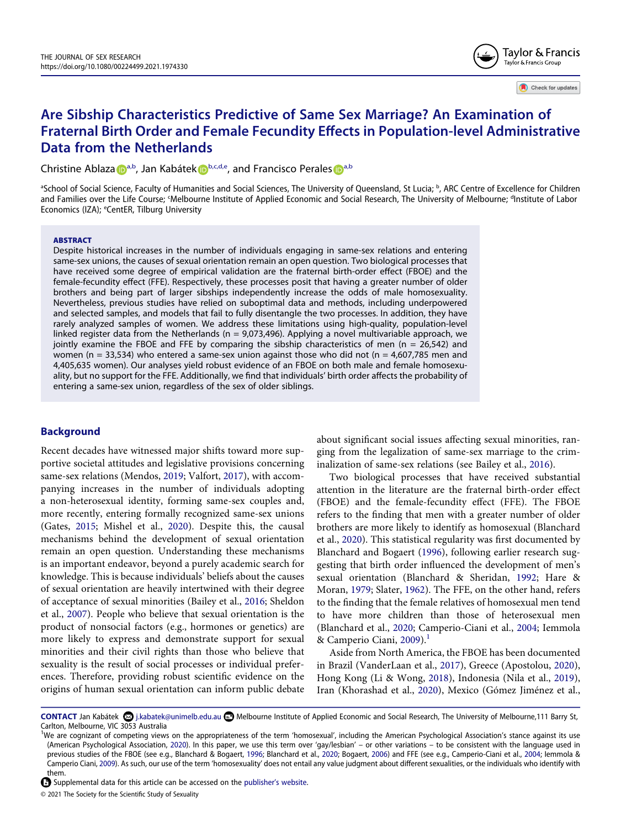

Check for updates

# **Are Sibship Characteristics Predictive of Same Sex Marriage? An Examination of Fraternal Birth Order and Female Fecundity Effects in Population-level Administrative Data from the Netherlands**

Christine Abl[a](http://orcid.org/0000-0002-1489-1284)za **D**<sup>[a,b](#page-0-0)</sup>, Jan Kabáte[k](http://orcid.org/0000-0002-5947-7941) D<sup>[b](#page-0-0)[,c,d](#page-0-1)[,e](#page-0-2)</sup>, and Francisco Perales D<sup>a,b</sup>

<span id="page-0-2"></span><span id="page-0-1"></span><span id="page-0-0"></span><sup>a</sup>School of Social Science, Faculty of Humanities and Social Sciences, The University of Queensland, St Lucia; <sup>b</sup>, ARC Centre of Excellence for Children and Families over the Life Course; 'Melbourne Institute of Applied Economic and Social Research, The University of Melbourne; <sup>a</sup>Institute of Labor Economics (IZA); <sup>e</sup>CentER, Tilburg University

#### **ABSTRACT**

Despite historical increases in the number of individuals engaging in same-sex relations and entering same-sex unions, the causes of sexual orientation remain an open question. Two biological processes that have received some degree of empirical validation are the fraternal birth-order effect (FBOE) and the female-fecundity effect (FFE). Respectively, these processes posit that having a greater number of older brothers and being part of larger sibships independently increase the odds of male homosexuality. Nevertheless, previous studies have relied on suboptimal data and methods, including underpowered and selected samples, and models that fail to fully disentangle the two processes. In addition, they have rarely analyzed samples of women. We address these limitations using high-quality, population-level linked register data from the Netherlands ( $n = 9.073.496$ ). Applying a novel multivariable approach, we jointly examine the FBOE and FFE by comparing the sibship characteristics of men (n = 26,542) and women (n = 33,534) who entered a same-sex union against those who did not (n = 4,607,785 men and 4,405,635 women). Our analyses yield robust evidence of an FBOE on both male and female homosexuality, but no support for the FFE. Additionally, we find that individuals' birth order affects the probability of entering a same-sex union, regardless of the sex of older siblings.

# **Background**

<span id="page-0-14"></span><span id="page-0-9"></span>Recent decades have witnessed major shifts toward more supportive societal attitudes and legislative provisions concerning same-sex relations (Mendos, [2019](#page-12-0); Valfort, [2017\)](#page-12-1), with accompanying increases in the number of individuals adopting a non-heterosexual identity, forming same-sex couples and, more recently, entering formally recognized same-sex unions (Gates, [2015;](#page-11-0) Mishel et al., [2020\)](#page-12-2). Despite this, the causal mechanisms behind the development of sexual orientation remain an open question. Understanding these mechanisms is an important endeavor, beyond a purely academic search for knowledge. This is because individuals' beliefs about the causes of sexual orientation are heavily intertwined with their degree of acceptance of sexual minorities (Bailey et al., [2016](#page-10-0); Sheldon et al., [2007](#page-12-3)). People who believe that sexual orientation is the product of nonsocial factors (e.g., hormones or genetics) are more likely to express and demonstrate support for sexual minorities and their civil rights than those who believe that sexuality is the result of social processes or individual preferences. Therefore, providing robust scientific evidence on the origins of human sexual orientation can inform public debate about significant social issues affecting sexual minorities, ranging from the legalization of same-sex marriage to the criminalization of same-sex relations (see Bailey et al., [2016\)](#page-10-0).

<span id="page-0-6"></span>Two biological processes that have received substantial attention in the literature are the fraternal birth-order effect (FBOE) and the female-fecundity effect (FFE). The FBOE refers to the finding that men with a greater number of older brothers are more likely to identify as homosexual (Blanchard et al., [2020](#page-11-1)). This statistical regularity was first documented by Blanchard and Bogaert [\(1996\)](#page-10-1), following earlier research suggesting that birth order influenced the development of men's sexual orientation (Blanchard & Sheridan, [1992](#page-11-2); Hare & Moran, [1979;](#page-11-3) Slater, [1962](#page-12-4)). The FFE, on the other hand, refers to the finding that the female relatives of homosexual men tend to have more children than those of heterosexual men (Blanchard et al., [2020](#page-11-1); Camperio-Ciani et al., [2004;](#page-11-4) Iemmola & Camperio Ciani,  $2009$ ).<sup>[1](#page-0-3)</sup>

<span id="page-0-13"></span><span id="page-0-11"></span><span id="page-0-10"></span><span id="page-0-8"></span><span id="page-0-5"></span>Aside from North America, the FBOE has been documented in Brazil (VanderLaan et al., [2017](#page-12-5)), Greece (Apostolou, [2020](#page-10-2)), Hong Kong (Li & Wong, [2018](#page-12-6)), Indonesia (Nila et al., [2019](#page-12-7)), Iran (Khorashad et al., [2020\)](#page-11-6), Mexico (Gómez Jiménez et al.,

© 2021 The Society for the Scientific Study of Sexuality

<span id="page-0-15"></span>CONTACT Jan Kabátek **۞** j.kabatek@unimelb.edu.au **B** Melbourne Institute of Applied Economic and Social Research, The University of Melbourne,111 Barry St, Carlton, Melbourne, VIC 3053 Australia

<span id="page-0-7"></span><span id="page-0-4"></span><span id="page-0-3"></span><sup>&</sup>lt;sup>1</sup>We are cognizant of competing views on the appropriateness of the term 'homosexual', including the American Psychological Association's stance against its use (American Psychological Association, [2020](#page-10-3)). In this paper, we use this term over 'gay/lesbian' – or other variations – to be consistent with the language used in previous studies of the FBOE (see e.g., Blanchard & Bogaert, [1996](#page-10-1); Blanchard et al., [2020](#page-11-1); Bogaert, [2006\)](#page-11-7) and FFE (see e.g., Camperio-Ciani et al., [2004;](#page-11-4) Iemmola & Camperio Ciani, [2009](#page-11-5)). As such, our use of the term 'homosexuality' does not entail any value judgment about different sexualities, or the individuals who identify with them.

<span id="page-0-12"></span>Supplemental data for this article can be accessed on the [publisher's website](https://doi.org/10.1080/00224499.2021.1974330).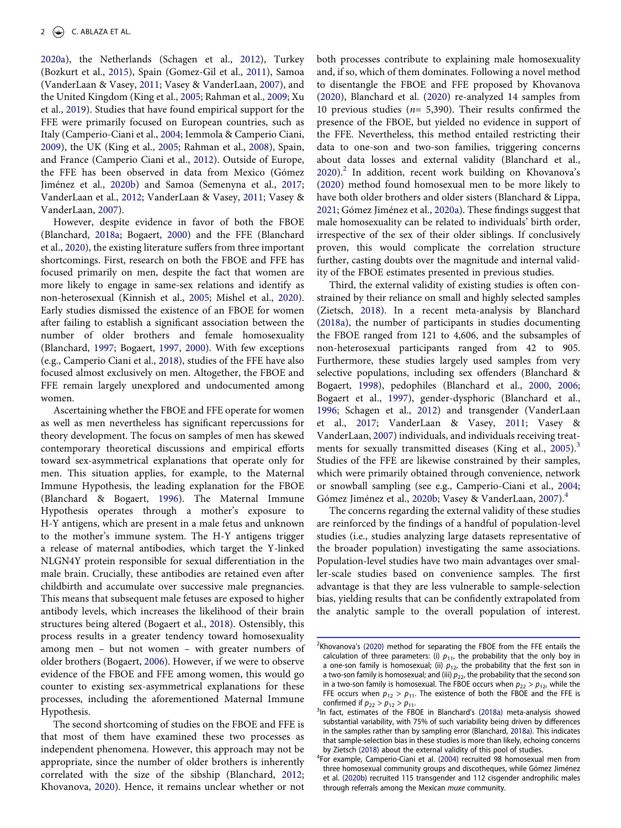<span id="page-1-23"></span><span id="page-1-16"></span><span id="page-1-10"></span>[2020a\)](#page-11-8), the Netherlands (Schagen et al., [2012\)](#page-12-8), Turkey (Bozkurt et al., [2015](#page-11-9)), Spain (Gomez-Gil et al., [2011\)](#page-11-10), Samoa (VanderLaan & Vasey, [2011;](#page-12-9) Vasey & VanderLaan, [2007\)](#page-12-10), and the United Kingdom (King et al., [2005;](#page-11-11) Rahman et al., [2009;](#page-12-11) Xu et al., [2019](#page-12-12)). Studies that have found empirical support for the FFE were primarily focused on European countries, such as Italy (Camperio-Ciani et al., [2004;](#page-11-4) Iemmola & Camperio Ciani, [2009](#page-11-5)), the UK (King et al., [2005;](#page-11-11) Rahman et al., [2008](#page-12-13)), Spain, and France (Camperio Ciani et al., [2012](#page-11-12)). Outside of Europe, the FFE has been observed in data from Mexico (Gómez Jiménez et al., [2020b\)](#page-11-13) and Samoa (Semenyna et al., [2017;](#page-12-14) VanderLaan et al., [2012;](#page-12-15) VanderLaan & Vasey, [2011;](#page-12-9) Vasey & VanderLaan, [2007](#page-12-10)).

<span id="page-1-20"></span><span id="page-1-19"></span><span id="page-1-17"></span><span id="page-1-15"></span><span id="page-1-12"></span>However, despite evidence in favor of both the FBOE (Blanchard, [2018a](#page-10-4); Bogaert, [2000](#page-11-14)) and the FFE (Blanchard et al., [2020](#page-11-1)), the existing literature suffers from three important shortcomings. First, research on both the FBOE and FFE has focused primarily on men, despite the fact that women are more likely to engage in same-sex relations and identify as non-heterosexual (Kinnish et al., [2005](#page-11-15); Mishel et al., [2020](#page-12-2)). Early studies dismissed the existence of an FBOE for women after failing to establish a significant association between the number of older brothers and female homosexuality (Blanchard, [1997;](#page-10-5) Bogaert, [1997](#page-11-16), [2000](#page-11-14)). With few exceptions (e.g., Camperio Ciani et al., [2018\)](#page-11-17), studies of the FFE have also focused almost exclusively on men. Altogether, the FBOE and FFE remain largely unexplored and undocumented among women.

<span id="page-1-11"></span><span id="page-1-3"></span>Ascertaining whether the FBOE and FFE operate for women as well as men nevertheless has significant repercussions for theory development. The focus on samples of men has skewed contemporary theoretical discussions and empirical efforts toward sex-asymmetrical explanations that operate only for men. This situation applies, for example, to the Maternal Immune Hypothesis, the leading explanation for the FBOE (Blanchard & Bogaert, [1996\)](#page-10-1). The Maternal Immune Hypothesis operates through a mother's exposure to H-Y antigens, which are present in a male fetus and unknown to the mother's immune system. The H-Y antigens trigger a release of maternal antibodies, which target the Y-linked NLGN4Y protein responsible for sexual differentiation in the male brain. Crucially, these antibodies are retained even after childbirth and accumulate over successive male pregnancies. This means that subsequent male fetuses are exposed to higher antibody levels, which increases the likelihood of their brain structures being altered (Bogaert et al., [2018\)](#page-11-18). Ostensibly, this process results in a greater tendency toward homosexuality among men – but not women – with greater numbers of older brothers (Bogaert, [2006](#page-11-7)). However, if we were to observe evidence of the FBOE and FFE among women, this would go counter to existing sex-asymmetrical explanations for these processes, including the aforementioned Maternal Immune Hypothesis.

<span id="page-1-9"></span><span id="page-1-4"></span>The second shortcoming of studies on the FBOE and FFE is that most of them have examined these two processes as independent phenomena. However, this approach may not be appropriate, since the number of older brothers is inherently correlated with the size of the sibship (Blanchard, [2012;](#page-10-6) Khovanova, [2020\)](#page-11-19). Hence, it remains unclear whether or not

both processes contribute to explaining male homosexuality and, if so, which of them dominates. Following a novel method to disentangle the FBOE and FFE proposed by Khovanova [\(2020\)](#page-11-19), Blanchard et al. [\(2020\)](#page-11-1) re-analyzed 14 samples from 10 previous studies ( $n=$  5,390). Their results confirmed the presence of the FBOE, but yielded no evidence in support of the FFE. Nevertheless, this method entailed restricting their data to one-son and two-son families, triggering concerns about data losses and external validity (Blanchard et al.,  $2020$ ).<sup>2</sup> In addition, recent work building on Khovanova's [\(2020\)](#page-11-19) method found homosexual men to be more likely to have both older brothers and older sisters (Blanchard & Lippa, [2021](#page-11-20); Gómez Jiménez et al., [2020a](#page-11-8)). These findings suggest that male homosexuality can be related to individuals' birth order, irrespective of the sex of their older siblings. If conclusively proven, this would complicate the correlation structure further, casting doubts over the magnitude and internal validity of the FBOE estimates presented in previous studies.

<span id="page-1-8"></span><span id="page-1-7"></span><span id="page-1-6"></span>Third, the external validity of existing studies is often constrained by their reliance on small and highly selected samples (Zietsch, [2018](#page-12-16)). In a recent meta-analysis by Blanchard [\(2018a](#page-10-4)), the number of participants in studies documenting the FBOE ranged from 121 to 4,606, and the subsamples of non-heterosexual participants ranged from 42 to 905. Furthermore, these studies largely used samples from very selective populations, including sex offenders (Blanchard & Bogaert, [1998\)](#page-11-21), pedophiles (Blanchard et al., [2000](#page-10-7), [2006;](#page-11-22) Bogaert et al., [1997](#page-11-23)), gender-dysphoric (Blanchard et al., [1996](#page-11-24); Schagen et al., [2012](#page-12-8)) and transgender (VanderLaan et al., [2017](#page-12-5); VanderLaan & Vasey, [2011;](#page-12-9) Vasey & VanderLaan, [2007](#page-12-10)) individuals, and individuals receiving treat-ments for sexually transmitted diseases (King et al., [2005\)](#page-11-11).<sup>3</sup> Studies of the FFE are likewise constrained by their samples, which were primarily obtained through convenience, network or snowball sampling (see e.g., Camperio-Ciani et al., [2004;](#page-11-4) Gómez Jiménez et al., [2020b;](#page-11-13) Vasey & VanderLaan, [2007](#page-12-10)).<sup>[4](#page-1-2)</sup>

<span id="page-1-22"></span><span id="page-1-21"></span><span id="page-1-18"></span><span id="page-1-14"></span>The concerns regarding the external validity of these studies are reinforced by the findings of a handful of population-level studies (i.e., studies analyzing large datasets representative of the broader population) investigating the same associations. Population-level studies have two main advantages over smaller-scale studies based on convenience samples. The first advantage is that they are less vulnerable to sample-selection bias, yielding results that can be confidently extrapolated from the analytic sample to the overall population of interest.

<span id="page-1-0"></span> $2$ Khovanova's ([2020](#page-11-19)) method for separating the FBOE from the FFE entails the calculation of three parameters: (i)  $p_{11}$ , the probability that the only boy in a one-son family is homosexual; (ii)  $p_{12}$ , the probability that the first son in a two-son family is homosexual; and (iii)  $p_{22}$ , the probability that the second son in a two-son family is homosexual. The FBOE occurs when  $p_{22} > p_{12}$ , while the FFE occurs when  $p_{12} > p_{11}$ . The existence of both the FBOE and the FFE is confirmed if  $p_{22} > p_{12} > p_{11}$ .

<span id="page-1-5"></span><span id="page-1-1"></span><sup>&</sup>lt;sup>3</sup>In fact, estimates of the FBOE in Blanchard's [\(2018a\)](#page-10-4) meta-analysis showed substantial variability, with 75% of such variability being driven by differences in the samples rather than by sampling error (Blanchard, [2018a\)](#page-10-4). This indicates that sample-selection bias in these studies is more than likely, echoing concerns by Zietsch [\(2018\)](#page-12-16) about the external validity of this pool of studies.

<span id="page-1-24"></span><span id="page-1-13"></span><span id="page-1-2"></span><sup>4</sup> For example, Camperio-Ciani et al. [\(2004\)](#page-11-4) recruited 98 homosexual men from three homosexual community groups and discotheques, while Gómez Jiménez et al. ([2020b\)](#page-11-13) recruited 115 transgender and 112 cisgender androphilic males through referrals among the Mexican muxe community.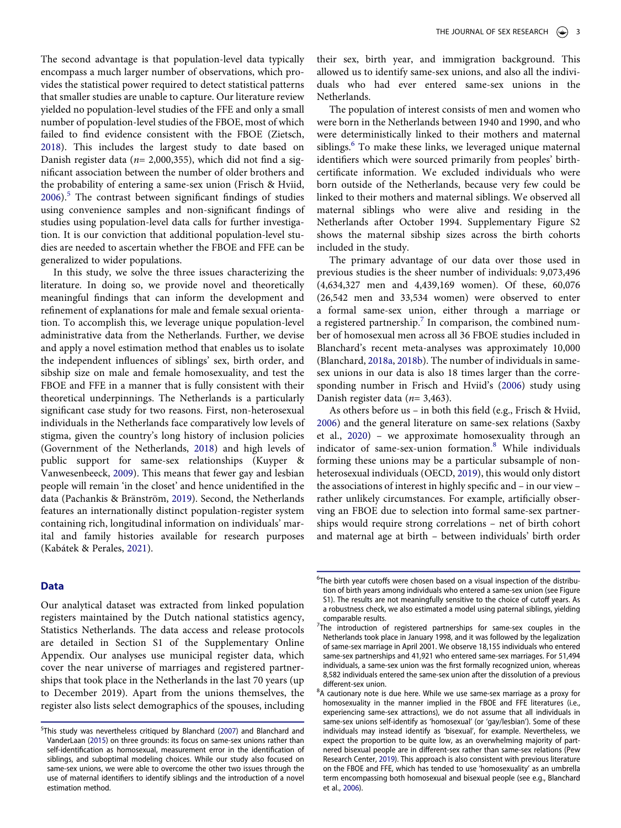The second advantage is that population-level data typically encompass a much larger number of observations, which provides the statistical power required to detect statistical patterns that smaller studies are unable to capture. Our literature review yielded no population-level studies of the FFE and only a small number of population-level studies of the FBOE, most of which failed to find evidence consistent with the FBOE (Zietsch, [2018](#page-12-16)). This includes the largest study to date based on Danish register data ( $n= 2,000,355$ ), which did not find a significant association between the number of older brothers and the probability of entering a same-sex union (Frisch & Hviid,  $2006$ .<sup>5</sup> The contrast between significant findings of studies using convenience samples and non-significant findings of studies using population-level data calls for further investigation. It is our conviction that additional population-level studies are needed to ascertain whether the FBOE and FFE can be generalized to wider populations.

In this study, we solve the three issues characterizing the literature. In doing so, we provide novel and theoretically meaningful findings that can inform the development and refinement of explanations for male and female sexual orientation. To accomplish this, we leverage unique population-level administrative data from the Netherlands. Further, we devise and apply a novel estimation method that enables us to isolate the independent influences of siblings' sex, birth order, and sibship size on male and female homosexuality, and test the FBOE and FFE in a manner that is fully consistent with their theoretical underpinnings. The Netherlands is a particularly significant case study for two reasons. First, non-heterosexual individuals in the Netherlands face comparatively low levels of stigma, given the country's long history of inclusion policies (Government of the Netherlands, [2018\)](#page-11-26) and high levels of public support for same-sex relationships (Kuyper & Vanwesenbeeck, [2009](#page-12-17)). This means that fewer gay and lesbian people will remain 'in the closet' and hence unidentified in the data (Pachankis & Bränström, [2019](#page-12-18)). Second, the Netherlands features an internationally distinct population-register system containing rich, longitudinal information on individuals' marital and family histories available for research purposes (Kabátek & Perales, [2021\)](#page-11-27).

# <span id="page-2-11"></span><span id="page-2-9"></span><span id="page-2-8"></span><span id="page-2-7"></span>**Data**

Our analytical dataset was extracted from linked population registers maintained by the Dutch national statistics agency, Statistics Netherlands. The data access and release protocols are detailed in Section S1 of the Supplementary Online Appendix. Our analyses use municipal register data, which cover the near universe of marriages and registered partnerships that took place in the Netherlands in the last 70 years (up to December 2019). Apart from the unions themselves, the register also lists select demographics of the spouses, including their sex, birth year, and immigration background. This allowed us to identify same-sex unions, and also all the individuals who had ever entered same-sex unions in the Netherlands.

The population of interest consists of men and women who were born in the Netherlands between 1940 and 1990, and who were deterministically linked to their mothers and maternal siblings.<sup>[6](#page-2-1)</sup> To make these links, we leveraged unique maternal identifiers which were sourced primarily from peoples' birthcertificate information. We excluded individuals who were born outside of the Netherlands, because very few could be linked to their mothers and maternal siblings. We observed all maternal siblings who were alive and residing in the Netherlands after October 1994. Supplementary Figure S2 shows the maternal sibship sizes across the birth cohorts included in the study.

The primary advantage of our data over those used in previous studies is the sheer number of individuals: 9,073,496 (4,634,327 men and 4,439,169 women). Of these, 60,076 (26,542 men and 33,534 women) were observed to enter a formal same-sex union, either through a marriage or a registered partnership.<sup>7</sup> In comparison, the combined number of homosexual men across all 36 FBOE studies included in Blanchard's recent meta-analyses was approximately 10,000 (Blanchard, [2018a,](#page-10-4) [2018b](#page-10-8)). The number of individuals in samesex unions in our data is also 18 times larger than the corresponding number in Frisch and Hviid's ([2006\)](#page-11-25) study using Danish register data ( $n=3,463$ ).

<span id="page-2-13"></span><span id="page-2-10"></span><span id="page-2-6"></span><span id="page-2-4"></span>As others before us – in both this field (e.g., Frisch & Hviid, [2006](#page-11-25)) and the general literature on same-sex relations (Saxby et al., [2020](#page-12-19)) – we approximate homosexuality through an indicator of same-sex-union formation.[8](#page-2-3) While individuals forming these unions may be a particular subsample of nonheterosexual individuals (OECD, [2019\)](#page-12-20), this would only distort the associations of interest in highly specific and – in our view – rather unlikely circumstances. For example, artificially observing an FBOE due to selection into formal same-sex partnerships would require strong correlations – net of birth cohort and maternal age at birth – between individuals' birth order

<span id="page-2-5"></span><span id="page-2-0"></span><sup>5</sup> This study was nevertheless critiqued by Blanchard ([2007\)](#page-10-9) and Blanchard and VanderLaan [\(2015](#page-11-28)) on three grounds: its focus on same-sex unions rather than self-identification as homosexual, measurement error in the identification of siblings, and suboptimal modeling choices. While our study also focused on same-sex unions, we were able to overcome the other two issues through the use of maternal identifiers to identify siblings and the introduction of a novel estimation method.

<span id="page-2-1"></span><sup>&</sup>lt;sup>6</sup>The birth year cutoffs were chosen based on a visual inspection of the distribution of birth years among individuals who entered a same-sex union (see Figure S1). The results are not meaningfully sensitive to the choice of cutoff years. As a robustness check, we also estimated a model using paternal siblings, yielding comparable results.

<span id="page-2-2"></span><sup>&</sup>lt;sup>7</sup>The introduction of registered partnerships for same-sex couples in the Netherlands took place in January 1998, and it was followed by the legalization of same-sex marriage in April 2001. We observe 18,155 individuals who entered same-sex partnerships and 41,921 who entered same-sex marriages. For 51,494 individuals, a same-sex union was the first formally recognized union, whereas 8,582 individuals entered the same-sex union after the dissolution of a previous different-sex union.

<span id="page-2-12"></span><span id="page-2-3"></span><sup>&</sup>lt;sup>8</sup>A cautionary note is due here. While we use same-sex marriage as a proxy for homosexuality in the manner implied in the FBOE and FFE literatures (i.e., experiencing same-sex attractions), we do not assume that all individuals in same-sex unions self-identify as 'homosexual' (or 'gay/lesbian'). Some of these individuals may instead identify as 'bisexual', for example. Nevertheless, we expect the proportion to be quite low, as an overwhelming majority of partnered bisexual people are in different-sex rather than same-sex relations (Pew Research Center, [2019\)](#page-12-21). This approach is also consistent with previous literature on the FBOE and FFE, which has tended to use 'homosexuality' as an umbrella term encompassing both homosexual and bisexual people (see e.g., Blanchard et al., [2006](#page-11-22)).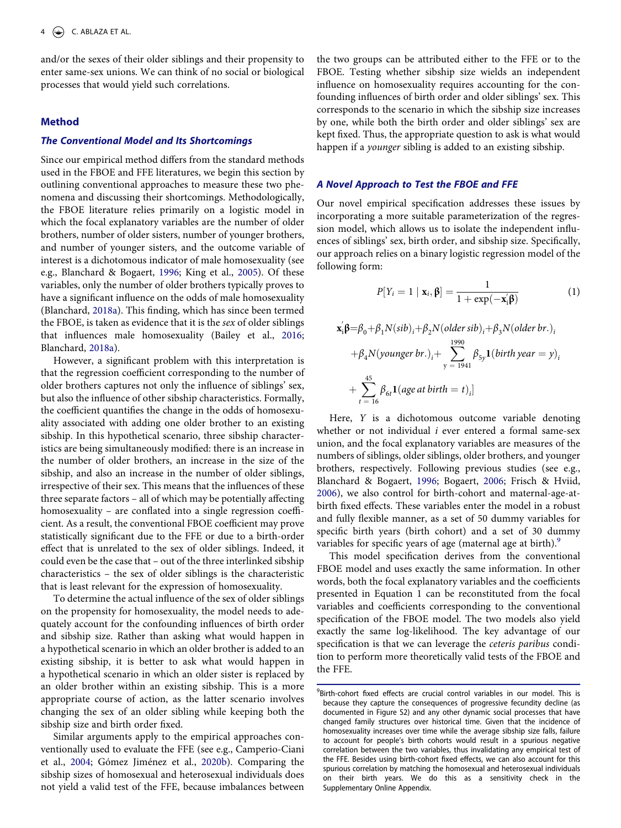and/or the sexes of their older siblings and their propensity to enter same-sex unions. We can think of no social or biological processes that would yield such correlations.

# **Method**

# **The Conventional Model and Its Shortcomings**

Since our empirical method differs from the standard methods used in the FBOE and FFE literatures, we begin this section by outlining conventional approaches to measure these two phenomena and discussing their shortcomings. Methodologically, the FBOE literature relies primarily on a logistic model in which the focal explanatory variables are the number of older brothers, number of older sisters, number of younger brothers, and number of younger sisters, and the outcome variable of interest is a dichotomous indicator of male homosexuality (see e.g., Blanchard & Bogaert, [1996](#page-10-1); King et al., [2005\)](#page-11-11). Of these variables, only the number of older brothers typically proves to have a significant influence on the odds of male homosexuality (Blanchard, [2018a](#page-10-4)). This finding, which has since been termed the FBOE, is taken as evidence that it is the sex of older siblings that influences male homosexuality (Bailey et al., [2016;](#page-10-0) Blanchard, [2018a\)](#page-10-4).

However, a significant problem with this interpretation is that the regression coefficient corresponding to the number of older brothers captures not only the influence of siblings' sex, but also the influence of other sibship characteristics. Formally, the coefficient quantifies the change in the odds of homosexuality associated with adding one older brother to an existing sibship. In this hypothetical scenario, three sibship characteristics are being simultaneously modified: there is an increase in the number of older brothers, an increase in the size of the sibship, and also an increase in the number of older siblings, irrespective of their sex. This means that the influences of these three separate factors – all of which may be potentially affecting homosexuality – are conflated into a single regression coefficient. As a result, the conventional FBOE coefficient may prove statistically significant due to the FFE or due to a birth-order effect that is unrelated to the sex of older siblings. Indeed, it could even be the case that – out of the three interlinked sibship characteristics – the sex of older siblings is the characteristic that is least relevant for the expression of homosexuality.

To determine the actual influence of the sex of older siblings on the propensity for homosexuality, the model needs to adequately account for the confounding influences of birth order and sibship size. Rather than asking what would happen in a hypothetical scenario in which an older brother is added to an existing sibship, it is better to ask what would happen in a hypothetical scenario in which an older sister is replaced by an older brother within an existing sibship. This is a more appropriate course of action, as the latter scenario involves changing the sex of an older sibling while keeping both the sibship size and birth order fixed.

Similar arguments apply to the empirical approaches conventionally used to evaluate the FFE (see e.g., Camperio-Ciani et al., [2004;](#page-11-4) Gómez Jiménez et al., [2020b\)](#page-11-13). Comparing the sibship sizes of homosexual and heterosexual individuals does not yield a valid test of the FFE, because imbalances between

the two groups can be attributed either to the FFE or to the FBOE. Testing whether sibship size wields an independent influence on homosexuality requires accounting for the confounding influences of birth order and older siblings' sex. This corresponds to the scenario in which the sibship size increases by one, while both the birth order and older siblings' sex are kept fixed. Thus, the appropriate question to ask is what would happen if a *younger* sibling is added to an existing sibship.

# **A Novel Approach to Test the FBOE and FFE**

Our novel empirical specification addresses these issues by incorporating a more suitable parameterization of the regression model, which allows us to isolate the independent influences of siblings' sex, birth order, and sibship size. Specifically, our approach relies on a binary logistic regression model of the following form:

$$
P[Y_i = 1 \mid \mathbf{x}_i, \boldsymbol{\beta}] = \frac{1}{1 + \exp(-\mathbf{x}_i' \boldsymbol{\beta})}
$$
(1)

$$
\mathbf{x}_{i}'\boldsymbol{\beta} = \beta_{0} + \beta_{1} N(\textit{sib})_{i} + \beta_{2} N(\textit{older sib})_{i} + \beta_{3} N(\textit{older br.})_{i}
$$
  
+  $\beta_{4} N(\textit{younger br.})_{i} + \sum_{y=1941}^{1990} \beta_{5y} \mathbf{1}(\textit{birth year} = y)_{i}$   
+  $\sum_{t=16}^{45} \beta_{6t} \mathbf{1}(\textit{age at birth} = t)_{i}]$ 

Here, Y is a dichotomous outcome variable denoting whether or not individual  $i$  ever entered a formal same-sex union, and the focal explanatory variables are measures of the numbers of siblings, older siblings, older brothers, and younger brothers, respectively. Following previous studies (see e.g., Blanchard & Bogaert, [1996;](#page-10-1) Bogaert, [2006;](#page-11-7) Frisch & Hviid, [2006](#page-11-25)), we also control for birth-cohort and maternal-age-atbirth fixed effects. These variables enter the model in a robust and fully flexible manner, as a set of 50 dummy variables for specific birth years (birth cohort) and a set of 30 dummy variables for specific years of age (maternal age at birth).<sup>[9](#page-3-0)</sup>

This model specification derives from the conventional FBOE model and uses exactly the same information. In other words, both the focal explanatory variables and the coefficients presented in Equation 1 can be reconstituted from the focal variables and coefficients corresponding to the conventional specification of the FBOE model. The two models also yield exactly the same log-likelihood. The key advantage of our specification is that we can leverage the ceteris paribus condition to perform more theoretically valid tests of the FBOE and the FFE.

<span id="page-3-0"></span><sup>9</sup> Birth-cohort fixed effects are crucial control variables in our model. This is because they capture the consequences of progressive fecundity decline (as documented in Figure S2) and any other dynamic social processes that have changed family structures over historical time. Given that the incidence of homosexuality increases over time while the average sibship size falls, failure to account for people's birth cohorts would result in a spurious negative correlation between the two variables, thus invalidating any empirical test of the FFE. Besides using birth-cohort fixed effects, we can also account for this spurious correlation by matching the homosexual and heterosexual individuals on their birth years. We do this as a sensitivity check in the Supplementary Online Appendix.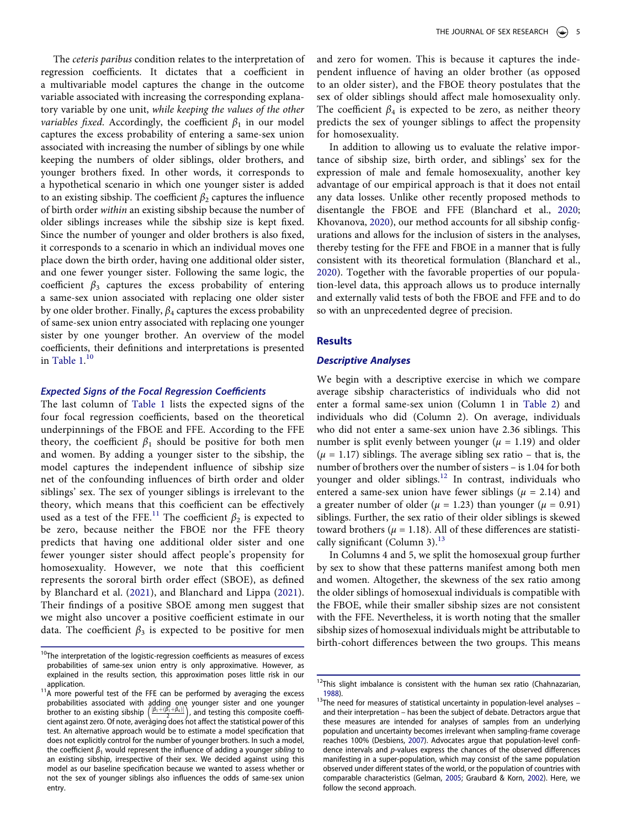The ceteris paribus condition relates to the interpretation of regression coefficients. It dictates that a coefficient in a multivariable model captures the change in the outcome variable associated with increasing the corresponding explanatory variable by one unit, while keeping the values of the other *variables fixed.* Accordingly, the coefficient  $\beta_1$  in our model captures the excess probability of entering a same-sex union associated with increasing the number of siblings by one while keeping the numbers of older siblings, older brothers, and younger brothers fixed. In other words, it corresponds to a hypothetical scenario in which one younger sister is added to an existing sibship. The coefficient  $\beta_2$  captures the influence of birth order within an existing sibship because the number of older siblings increases while the sibship size is kept fixed. Since the number of younger and older brothers is also fixed, it corresponds to a scenario in which an individual moves one place down the birth order, having one additional older sister, and one fewer younger sister. Following the same logic, the coefficient  $\beta_3$  captures the excess probability of entering a same-sex union associated with replacing one older sister by one older brother. Finally,  $\beta_4$  captures the excess probability of same-sex union entry associated with replacing one younger sister by one younger brother. An overview of the model coefficients, their definitions and interpretations is presented in [Table 1.](#page-5-0) [10](#page-4-0)

# **Expected Signs of the Focal Regression Coefficients**

The last column of [Table 1](#page-5-0) lists the expected signs of the four focal regression coefficients, based on the theoretical underpinnings of the FBOE and FFE. According to the FFE theory, the coefficient  $\beta_1$  should be positive for both men and women. By adding a younger sister to the sibship, the model captures the independent influence of sibship size net of the confounding influences of birth order and older siblings' sex. The sex of younger siblings is irrelevant to the theory, which means that this coefficient can be effectively used as a test of the FFE.<sup>11</sup> The coefficient  $\beta_2$  is expected to be zero, because neither the FBOE nor the FFE theory predicts that having one additional older sister and one fewer younger sister should affect people's propensity for homosexuality. However, we note that this coefficient represents the sororal birth order effect (SBOE), as defined by Blanchard et al. [\(2021\)](#page-10-10), and Blanchard and Lippa ([2021](#page-11-20)). Their findings of a positive SBOE among men suggest that we might also uncover a positive coefficient estimate in our data. The coefficient  $\beta_3$  is expected to be positive for men

and zero for women. This is because it captures the independent influence of having an older brother (as opposed to an older sister), and the FBOE theory postulates that the sex of older siblings should affect male homosexuality only. The coefficient  $\beta_4$  is expected to be zero, as neither theory predicts the sex of younger siblings to affect the propensity for homosexuality.

In addition to allowing us to evaluate the relative importance of sibship size, birth order, and siblings' sex for the expression of male and female homosexuality, another key advantage of our empirical approach is that it does not entail any data losses. Unlike other recently proposed methods to disentangle the FBOE and FFE (Blanchard et al., [2020;](#page-11-1) Khovanova, [2020\)](#page-11-19), our method accounts for all sibship configurations and allows for the inclusion of sisters in the analyses, thereby testing for the FFE and FBOE in a manner that is fully consistent with its theoretical formulation (Blanchard et al., [2020](#page-11-1)). Together with the favorable properties of our population-level data, this approach allows us to produce internally and externally valid tests of both the FBOE and FFE and to do so with an unprecedented degree of precision.

## **Results**

# **Descriptive Analyses**

We begin with a descriptive exercise in which we compare average sibship characteristics of individuals who did not enter a formal same-sex union (Column 1 in [Table 2](#page-5-1)) and individuals who did (Column 2). On average, individuals who did not enter a same-sex union have 2.36 siblings. This number is split evenly between younger ( $\mu = 1.19$ ) and older  $(\mu = 1.17)$  siblings. The average sibling sex ratio – that is, the number of brothers over the number of sisters – is 1.04 for both younger and older siblings.<sup>[12](#page-4-2)</sup> In contrast, individuals who entered a same-sex union have fewer siblings ( $\mu$  = 2.14) and a greater number of older ( $\mu = 1.23$ ) than younger ( $\mu = 0.91$ ) siblings. Further, the sex ratio of their older siblings is skewed toward brothers ( $\mu$  = 1.18). All of these differences are statistically significant (Column 3). $^{13}$  $^{13}$  $^{13}$ 

In Columns 4 and 5, we split the homosexual group further by sex to show that these patterns manifest among both men and women. Altogether, the skewness of the sex ratio among the older siblings of homosexual individuals is compatible with the FBOE, while their smaller sibship sizes are not consistent with the FFE. Nevertheless, it is worth noting that the smaller sibship sizes of homosexual individuals might be attributable to birth-cohort differences between the two groups. This means

<span id="page-4-4"></span><span id="page-4-0"></span> $10$ The interpretation of the logistic-regression coefficients as measures of excess probabilities of same-sex union entry is only approximative. However, as explained in the results section, this approximation poses little risk in our application.

<span id="page-4-1"></span><sup>&</sup>lt;sup>14</sup>A more powerful test of the FFE can be performed by averaging the excess probabilities associated with adding one younger sister and one younger brother to an existing sibship  $\left(\frac{(\beta_1 + (\beta_1 + \beta_2))}{2}\right)$ , and testing this composite coefficient against zero. Of note, averaging does not affect the statistical power of this test. An alternative approach would be to estimate a model specification that does not explicitly control for the number of younger brothers. In such a model, the coefficient  $\beta_1$  would represent the influence of adding a younger sibling to an existing sibship, irrespective of their sex. We decided against using this model as our baseline specification because we wanted to assess whether or not the sex of younger siblings also influences the odds of same-sex union entry.

<span id="page-4-2"></span> $12$ This slight imbalance is consistent with the human sex ratio (Chahnazarian, [1988](#page-11-29)).

<span id="page-4-6"></span><span id="page-4-5"></span><span id="page-4-3"></span> $13$ The need for measures of statistical uncertainty in population-level analyses – and their interpretation – has been the subject of debate. Detractors argue that these measures are intended for analyses of samples from an underlying population and uncertainty becomes irrelevant when sampling-frame coverage reaches 100% (Desbiens, [2007\)](#page-11-30). Advocates argue that population-level confidence intervals and p-values express the chances of the observed differences manifesting in a super-population, which may consist of the same population observed under different states of the world, or the population of countries with comparable characteristics (Gelman, [2005](#page-11-31); Graubard & Korn, [2002\)](#page-11-32). Here, we follow the second approach.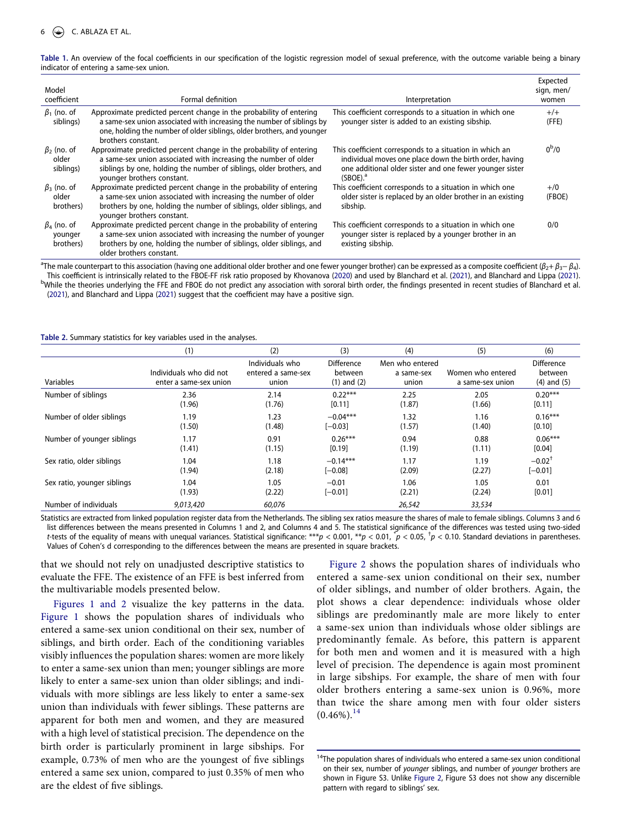<span id="page-5-0"></span>**Table 1.** An overview of the focal coefficients in our specification of the logistic regression model of sexual preference, with the outcome variable being a binary indicator of entering a same-sex union.

| Model<br>coefficient                      | Formal definition                                                                                                                                                                                                                            | Interpretation                                                                                                                                                                                        | Expected<br>sign, men/<br>women |
|-------------------------------------------|----------------------------------------------------------------------------------------------------------------------------------------------------------------------------------------------------------------------------------------------|-------------------------------------------------------------------------------------------------------------------------------------------------------------------------------------------------------|---------------------------------|
| $\beta_1$ (no. of<br>siblings)            | Approximate predicted percent change in the probability of entering<br>a same-sex union associated with increasing the number of siblings by<br>one, holding the number of older siblings, older brothers, and younger<br>brothers constant. | This coefficient corresponds to a situation in which one<br>younger sister is added to an existing sibship.                                                                                           | $+/-$<br>(FFE)                  |
| $\beta_2$ (no. of<br>older<br>siblings)   | Approximate predicted percent change in the probability of entering<br>a same-sex union associated with increasing the number of older<br>siblings by one, holding the number of siblings, older brothers, and<br>younger brothers constant. | This coefficient corresponds to a situation in which an<br>individual moves one place down the birth order, having<br>one additional older sister and one fewer younger sister<br>(SBOE) <sup>a</sup> | $0^{\rm b}/0$                   |
| $\beta_3$ (no. of<br>older<br>brothers)   | Approximate predicted percent change in the probability of entering<br>a same-sex union associated with increasing the number of older<br>brothers by one, holding the number of siblings, older siblings, and<br>younger brothers constant. | This coefficient corresponds to a situation in which one<br>older sister is replaced by an older brother in an existing<br>sibship.                                                                   | $+$ /0<br>(FBOE)                |
| $\beta_4$ (no. of<br>younger<br>brothers) | Approximate predicted percent change in the probability of entering<br>a same-sex union associated with increasing the number of younger<br>brothers by one, holding the number of siblings, older siblings, and<br>older brothers constant. | This coefficient corresponds to a situation in which one<br>younger sister is replaced by a younger brother in an<br>existing sibship.                                                                | 0/0                             |

<sup>a</sup>The male counterpart to this association (having one additional older brother and one fewer younger brother) can be expressed as a composite coefficient (β<sub>2</sub>+ β<sub>3</sub>− β<sub>4</sub>). This coefficient is intrinsically related to the FBOE-FF risk ratio proposed by Khovanova ([2020\)](#page-11-19) and used by Blanchard et al. ([2021\)](#page-10-10), and Blanchard and Lippa [\(2021](#page-11-20)). <sup>b</sup>While the theories underlying the FFE and FBOE do not predict any association with sororal birth order, the findings presented in recent studies of Blanchard et al. [\(2021](#page-10-10)), and Blanchard and Lippa [\(2021](#page-11-20)) suggest that the coefficient may have a positive sign.

<span id="page-5-1"></span>**Table 2.** Summary statistics for key variables used in the analyses.

|                             | (1)                                               | (2)                                            | (3)                                      | (4)                                    | (5)                                   | (6)                                             |
|-----------------------------|---------------------------------------------------|------------------------------------------------|------------------------------------------|----------------------------------------|---------------------------------------|-------------------------------------------------|
| Variables                   | Individuals who did not<br>enter a same-sex union | Individuals who<br>entered a same-sex<br>union | Difference<br>between<br>$(1)$ and $(2)$ | Men who entered<br>a same-sex<br>union | Women who entered<br>a same-sex union | <b>Difference</b><br>between<br>$(4)$ and $(5)$ |
| Number of siblings          | 2.36                                              | 2.14                                           | $0.22***$                                | 2.25                                   | 2.05                                  | $0.20***$                                       |
|                             | (1.96)                                            | (1.76)                                         | [0.11]                                   | (1.87)                                 | (1.66)                                | [0.11]                                          |
| Number of older siblings    | 1.19                                              | 1.23                                           | $-0.04***$                               | 1.32                                   | 1.16                                  | $0.16***$                                       |
|                             | (1.50)                                            | (1.48)                                         | $[-0.03]$                                | (1.57)                                 | (1.40)                                | [0.10]                                          |
| Number of younger siblings  | 1.17                                              | 0.91                                           | $0.26***$                                | 0.94                                   | 0.88                                  | $0.06***$                                       |
|                             | (1.41)                                            | (1.15)                                         | [0.19]                                   | (1.19)                                 | (1.11)                                | [0.04]                                          |
| Sex ratio, older siblings   | 1.04                                              | 1.18                                           | $-0.14***$                               | 1.17                                   | 1.19                                  | $-0.02$ <sup>†</sup>                            |
|                             | (1.94)                                            | (2.18)                                         | $[-0.08]$                                | (2.09)                                 | (2.27)                                | $[-0.01]$                                       |
| Sex ratio, younger siblings | 1.04                                              | 1.05                                           | $-0.01$                                  | 1.06                                   | 1.05                                  | 0.01                                            |
|                             | (1.93)                                            | (2.22)                                         | $[-0.01]$                                | (2.21)                                 | (2.24)                                | [0.01]                                          |
| Number of individuals       | 9,013,420                                         | 60,076                                         |                                          | 26,542                                 | 33,534                                |                                                 |

Statistics are extracted from linked population register data from the Netherlands. The sibling sex ratios measure the shares of male to female siblings. Columns 3 and 6 list differences between the means presented in Columns 1 and 2, and Columns 4 and 5. The statistical significance of the differences was tested using two-sided t-tests of the equality of means with unequal variances. Statistical significance: \*\*\*p < 0.001, \*\*p < 0.01,  $\tilde{p}$  < 0.05,  $\tilde{p}$  < 0.10. Standard deviations in parentheses. Values of Cohen's d corresponding to the differences between the means are presented in square brackets.

that we should not rely on unadjusted descriptive statistics to evaluate the FFE. The existence of an FFE is best inferred from the multivariable models presented below.

[Figures 1 and 2](#page-6-0) visualize the key patterns in the data. [Figure 1](#page-6-0) shows the population shares of individuals who entered a same-sex union conditional on their sex, number of siblings, and birth order. Each of the conditioning variables visibly influences the population shares: women are more likely to enter a same-sex union than men; younger siblings are more likely to enter a same-sex union than older siblings; and individuals with more siblings are less likely to enter a same-sex union than individuals with fewer siblings. These patterns are apparent for both men and women, and they are measured with a high level of statistical precision. The dependence on the birth order is particularly prominent in large sibships. For example, 0.73% of men who are the youngest of five siblings entered a same sex union, compared to just 0.35% of men who are the eldest of five siblings.

[Figure 2](#page-6-1) shows the population shares of individuals who entered a same-sex union conditional on their sex, number of older siblings, and number of older brothers. Again, the plot shows a clear dependence: individuals whose older siblings are predominantly male are more likely to enter a same-sex union than individuals whose older siblings are predominantly female. As before, this pattern is apparent for both men and women and it is measured with a high level of precision. The dependence is again most prominent in large sibships. For example, the share of men with four older brothers entering a same-sex union is 0.96%, more than twice the share among men with four older sisters  $(0.46\%)$ <sup>[14](#page-5-2)</sup>

<span id="page-5-2"></span> $14$ The population shares of individuals who entered a same-sex union conditional on their sex, number of younger siblings, and number of younger brothers are shown in Figure S3. Unlike [Figure 2](#page-6-1), Figure S3 does not show any discernible pattern with regard to siblings' sex.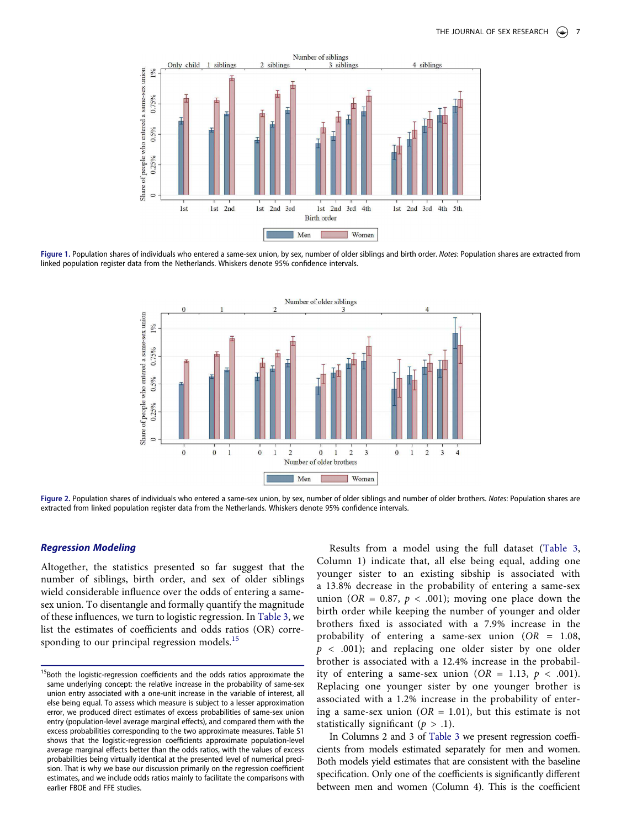<span id="page-6-0"></span>

<span id="page-6-1"></span>Figure 1. Population shares of individuals who entered a same-sex union, by sex, number of older siblings and birth order. Notes: Population shares are extracted from linked population register data from the Netherlands. Whiskers denote 95% confidence intervals.



Figure 2. Population shares of individuals who entered a same-sex union, by sex, number of older siblings and number of older brothers. Notes: Population shares are extracted from linked population register data from the Netherlands. Whiskers denote 95% confidence intervals.

## **Regression Modeling**

Altogether, the statistics presented so far suggest that the number of siblings, birth order, and sex of older siblings wield considerable influence over the odds of entering a samesex union. To disentangle and formally quantify the magnitude of these influences, we turn to logistic regression. In [Table 3,](#page-7-0) we list the estimates of coefficients and odds ratios (OR) corre-sponding to our principal regression models.<sup>[15](#page-6-2)</sup>

Results from a model using the full dataset ([Table 3,](#page-7-0) Column 1) indicate that, all else being equal, adding one younger sister to an existing sibship is associated with a 13.8% decrease in the probability of entering a same-sex union (OR = 0.87,  $p < .001$ ); moving one place down the birth order while keeping the number of younger and older brothers fixed is associated with a 7.9% increase in the probability of entering a same-sex union  $(OR = 1.08,$  $p$  < .001); and replacing one older sister by one older brother is associated with a 12.4% increase in the probability of entering a same-sex union ( $OR = 1.13$ ,  $p < .001$ ). Replacing one younger sister by one younger brother is associated with a 1.2% increase in the probability of entering a same-sex union ( $OR = 1.01$ ), but this estimate is not statistically significant ( $p > .1$ ).

In Columns 2 and 3 of [Table 3](#page-7-0) we present regression coefficients from models estimated separately for men and women. Both models yield estimates that are consistent with the baseline specification. Only one of the coefficients is significantly different between men and women (Column 4). This is the coefficient

<span id="page-6-2"></span><sup>&</sup>lt;sup>15</sup>Both the logistic-regression coefficients and the odds ratios approximate the same underlying concept: the relative increase in the probability of same-sex union entry associated with a one-unit increase in the variable of interest, all else being equal. To assess which measure is subject to a lesser approximation error, we produced direct estimates of excess probabilities of same-sex union entry (population-level average marginal effects), and compared them with the excess probabilities corresponding to the two approximate measures. Table S1 shows that the logistic-regression coefficients approximate population-level average marginal effects better than the odds ratios, with the values of excess probabilities being virtually identical at the presented level of numerical precision. That is why we base our discussion primarily on the regression coefficient estimates, and we include odds ratios mainly to facilitate the comparisons with earlier FBOE and FFE studies.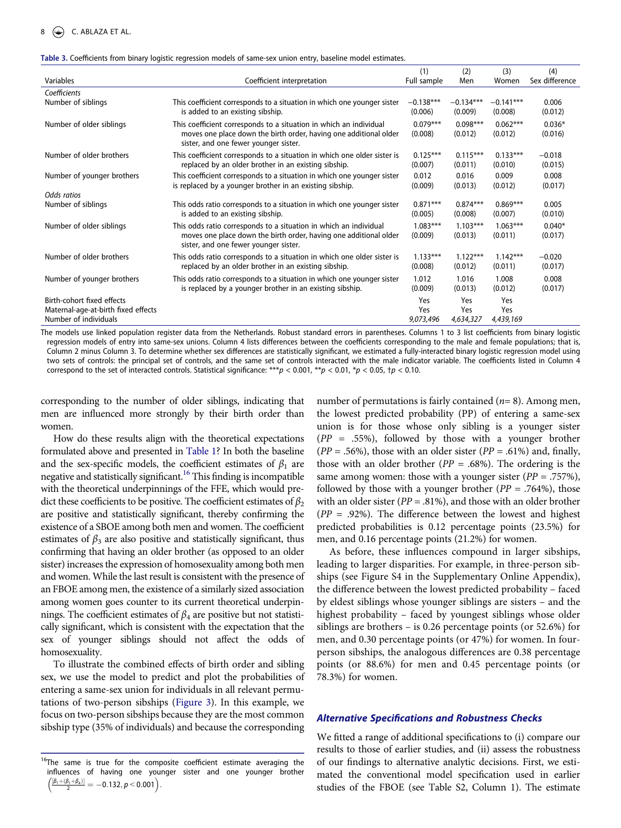#### <span id="page-7-0"></span>**Table 3.** Coefficients from binary logistic regression models of same-sex union entry, baseline model estimates.

|                                                                                            |                                                                                                                                                                                  | (1)                                      | (2)                     | (3)                     | (4)                 |
|--------------------------------------------------------------------------------------------|----------------------------------------------------------------------------------------------------------------------------------------------------------------------------------|------------------------------------------|-------------------------|-------------------------|---------------------|
| Variables                                                                                  | Coefficient interpretation                                                                                                                                                       | Full sample                              | Men                     | Women                   | Sex difference      |
| Coefficients                                                                               |                                                                                                                                                                                  |                                          |                         |                         |                     |
| Number of siblings                                                                         | This coefficient corresponds to a situation in which one younger sister<br>is added to an existing sibship.                                                                      | $-0.138***$<br>(0.006)                   | $-0.134***$<br>(0.009)  | $-0.141***$<br>(0.008)  | 0.006<br>(0.012)    |
| Number of older siblings                                                                   | This coefficient corresponds to a situation in which an individual<br>moves one place down the birth order, having one additional older<br>sister, and one fewer younger sister. | $0.079***$<br>(0.008)                    | $0.098***$<br>(0.012)   | $0.062***$<br>(0.012)   | $0.036*$<br>(0.016) |
| Number of older brothers                                                                   | This coefficient corresponds to a situation in which one older sister is<br>replaced by an older brother in an existing sibship.                                                 | $0.125***$<br>(0.007)                    | $0.115***$<br>(0.011)   | $0.133***$<br>(0.010)   | $-0.018$<br>(0.015) |
| Number of younger brothers                                                                 | This coefficient corresponds to a situation in which one younger sister<br>is replaced by a younger brother in an existing sibship.                                              | 0.012<br>(0.009)                         | 0.016<br>(0.013)        | 0.009<br>(0.012)        | 0.008<br>(0.017)    |
| Odds ratios                                                                                |                                                                                                                                                                                  |                                          |                         |                         |                     |
| Number of siblings                                                                         | This odds ratio corresponds to a situation in which one younger sister<br>is added to an existing sibship.                                                                       | $0.871***$<br>(0.005)                    | $0.874***$<br>(0.008)   | $0.869***$<br>(0.007)   | 0.005<br>(0.010)    |
| Number of older siblings                                                                   | This odds ratio corresponds to a situation in which an individual<br>moves one place down the birth order, having one additional older<br>sister, and one fewer younger sister.  | $1.083***$<br>(0.009)                    | $1.103***$<br>(0.013)   | $1.063***$<br>(0.011)   | $0.040*$<br>(0.017) |
| Number of older brothers                                                                   | This odds ratio corresponds to a situation in which one older sister is<br>replaced by an older brother in an existing sibship.                                                  | $1.133***$<br>(0.008)                    | $1.122***$<br>(0.012)   | $1.142***$<br>(0.011)   | $-0.020$<br>(0.017) |
| Number of younger brothers                                                                 | This odds ratio corresponds to a situation in which one younger sister<br>is replaced by a younger brother in an existing sibship.                                               | 1.012<br>(0.009)                         | 1.016<br>(0.013)        | 1.008<br>(0.012)        | 0.008<br>(0.017)    |
| Birth-cohort fixed effects<br>Maternal-age-at-birth fixed effects<br>Number of individuals |                                                                                                                                                                                  | Yes<br>Yes<br>9,073,496<br>$\sim$ $\sim$ | Yes<br>Yes<br>4,634,327 | Yes<br>Yes<br>4,439,169 |                     |

The models use linked population register data from the Netherlands. Robust standard errors in parentheses. Columns 1 to 3 list coefficients from binary logistic regression models of entry into same-sex unions. Column 4 lists differences between the coefficients corresponding to the male and female populations; that is, Column 2 minus Column 3. To determine whether sex differences are statistically significant, we estimated a fully-interacted binary logistic regression model using two sets of controls: the principal set of controls, and the same set of controls interacted with the male indicator variable. The coefficients listed in Column 4 correspond to the set of interacted controls. Statistical significance: \*\*\*p < 0.001, \*\*p < 0.01, \*p < 0.05,  $tp$  < 0.10.

corresponding to the number of older siblings, indicating that men are influenced more strongly by their birth order than women.

How do these results align with the theoretical expectations formulated above and presented in [Table 1?](#page-5-0) In both the baseline and the sex-specific models, the coefficient estimates of  $\beta_1$  are negative and statistically significant.<sup>16</sup> This finding is incompatible with the theoretical underpinnings of the FFE, which would predict these coefficients to be positive. The coefficient estimates of  $\beta_2$ are positive and statistically significant, thereby confirming the existence of a SBOE among both men and women. The coefficient estimates of  $\beta_3$  are also positive and statistically significant, thus confirming that having an older brother (as opposed to an older sister) increases the expression of homosexuality among both men and women. While the last result is consistent with the presence of an FBOE among men, the existence of a similarly sized association among women goes counter to its current theoretical underpinnings. The coefficient estimates of  $\beta_4$  are positive but not statistically significant, which is consistent with the expectation that the sex of younger siblings should not affect the odds of homosexuality.

To illustrate the combined effects of birth order and sibling sex, we use the model to predict and plot the probabilities of entering a same-sex union for individuals in all relevant permutations of two-person sibships [\(Figure 3\)](#page-8-0). In this example, we focus on two-person sibships because they are the most common sibship type (35% of individuals) and because the corresponding

number of permutations is fairly contained ( $n=8$ ). Among men, the lowest predicted probability (PP) of entering a same-sex union is for those whose only sibling is a younger sister  $(PP = .55\%)$ , followed by those with a younger brother  $(PP = .56\%)$ , those with an older sister  $(PP = .61\%)$  and, finally, those with an older brother ( $PP = .68\%$ ). The ordering is the same among women: those with a younger sister  $(PP = .757\%)$ , followed by those with a younger brother ( $PP = .764\%$ ), those with an older sister ( $PP = .81\%$ ), and those with an older brother  $(PP = .92\%)$ . The difference between the lowest and highest predicted probabilities is 0.12 percentage points (23.5%) for men, and 0.16 percentage points (21.2%) for women.

As before, these influences compound in larger sibships, leading to larger disparities. For example, in three-person sibships (see Figure S4 in the Supplementary Online Appendix), the difference between the lowest predicted probability – faced by eldest siblings whose younger siblings are sisters – and the highest probability – faced by youngest siblings whose older siblings are brothers – is 0.26 percentage points (or 52.6%) for men, and 0.30 percentage points (or 47%) for women. In fourperson sibships, the analogous differences are 0.38 percentage points (or 88.6%) for men and 0.45 percentage points (or 78.3%) for women.

## **Alternative Specifications and Robustness Checks**

We fitted a range of additional specifications to (i) compare our results to those of earlier studies, and (ii) assess the robustness of our findings to alternative analytic decisions. First, we estimated the conventional model specification used in earlier studies of the FBOE (see Table S2, Column 1). The estimate

<span id="page-7-1"></span><sup>&</sup>lt;sup>16</sup>The same is true for the composite coefficient estimate averaging the influences of having one younger sister and one younger brother  $\left(\frac{[\beta_1+(\beta_1+\beta_4)]}{2} = -0.132, p < 0.001\right).$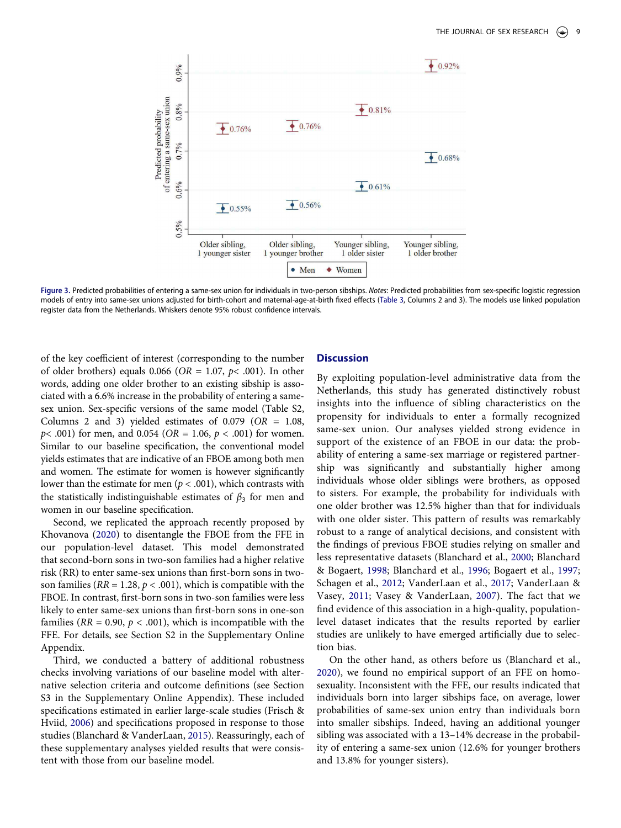<span id="page-8-0"></span>

**Figure 3.** Predicted probabilities of entering a same-sex union for individuals in two-person sibships. Notes: Predicted probabilities from sex-specific logistic regression models of entry into same-sex unions adjusted for birth-cohort and maternal-age-at-birth fixed effects [\(Table 3](#page-7-0), Columns 2 and 3). The models use linked population register data from the Netherlands. Whiskers denote 95% robust confidence intervals.

of the key coefficient of interest (corresponding to the number of older brothers) equals 0.066 ( $OR = 1.07$ ,  $p < .001$ ). In other words, adding one older brother to an existing sibship is associated with a 6.6% increase in the probability of entering a samesex union. Sex-specific versions of the same model (Table S2, Columns 2 and 3) yielded estimates of  $0.079$  (OR = 1.08,  $p$ < .001) for men, and 0.054 (*OR* = 1.06,  $p$  < .001) for women. Similar to our baseline specification, the conventional model yields estimates that are indicative of an FBOE among both men and women. The estimate for women is however significantly lower than the estimate for men ( $p < .001$ ), which contrasts with the statistically indistinguishable estimates of  $\beta_3$  for men and women in our baseline specification.

Second, we replicated the approach recently proposed by Khovanova ([2020](#page-11-19)) to disentangle the FBOE from the FFE in our population-level dataset. This model demonstrated that second-born sons in two-son families had a higher relative risk (RR) to enter same-sex unions than first-born sons in twoson families ( $RR = 1.28$ ,  $p < .001$ ), which is compatible with the FBOE. In contrast, first-born sons in two-son families were less likely to enter same-sex unions than first-born sons in one-son families ( $RR = 0.90, p < .001$ ), which is incompatible with the FFE. For details, see Section S2 in the Supplementary Online Appendix.

Third, we conducted a battery of additional robustness checks involving variations of our baseline model with alternative selection criteria and outcome definitions (see Section S3 in the Supplementary Online Appendix). These included specifications estimated in earlier large-scale studies (Frisch & Hviid, [2006](#page-11-25)) and specifications proposed in response to those studies (Blanchard & VanderLaan, [2015\)](#page-11-28). Reassuringly, each of these supplementary analyses yielded results that were consistent with those from our baseline model.

# **Discussion**

By exploiting population-level administrative data from the Netherlands, this study has generated distinctively robust insights into the influence of sibling characteristics on the propensity for individuals to enter a formally recognized same-sex union. Our analyses yielded strong evidence in support of the existence of an FBOE in our data: the probability of entering a same-sex marriage or registered partnership was significantly and substantially higher among individuals whose older siblings were brothers, as opposed to sisters. For example, the probability for individuals with one older brother was 12.5% higher than that for individuals with one older sister. This pattern of results was remarkably robust to a range of analytical decisions, and consistent with the findings of previous FBOE studies relying on smaller and less representative datasets (Blanchard et al., [2000](#page-10-7); Blanchard & Bogaert, [1998](#page-11-21); Blanchard et al., [1996;](#page-11-24) Bogaert et al., [1997;](#page-11-23) Schagen et al., [2012;](#page-12-8) VanderLaan et al., [2017;](#page-12-5) VanderLaan & Vasey, [2011;](#page-12-9) Vasey & VanderLaan, [2007\)](#page-12-10). The fact that we find evidence of this association in a high-quality, populationlevel dataset indicates that the results reported by earlier studies are unlikely to have emerged artificially due to selection bias.

On the other hand, as others before us (Blanchard et al., [2020](#page-11-1)), we found no empirical support of an FFE on homosexuality. Inconsistent with the FFE, our results indicated that individuals born into larger sibships face, on average, lower probabilities of same-sex union entry than individuals born into smaller sibships. Indeed, having an additional younger sibling was associated with a 13–14% decrease in the probability of entering a same-sex union (12.6% for younger brothers and 13.8% for younger sisters).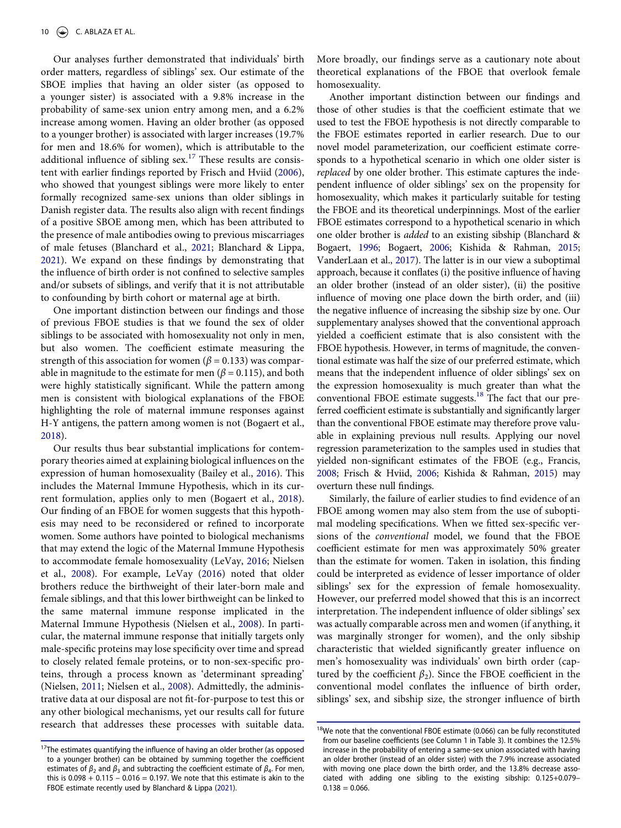Our analyses further demonstrated that individuals' birth order matters, regardless of siblings' sex. Our estimate of the SBOE implies that having an older sister (as opposed to a younger sister) is associated with a 9.8% increase in the probability of same-sex union entry among men, and a 6.2% increase among women. Having an older brother (as opposed to a younger brother) is associated with larger increases (19.7% for men and 18.6% for women), which is attributable to the additional influence of sibling  $sex.$ <sup>[17](#page-9-0)</sup> These results are consistent with earlier findings reported by Frisch and Hviid [\(2006](#page-11-25)), who showed that youngest siblings were more likely to enter formally recognized same-sex unions than older siblings in Danish register data. The results also align with recent findings of a positive SBOE among men, which has been attributed to the presence of male antibodies owing to previous miscarriages of male fetuses (Blanchard et al., [2021](#page-10-10); Blanchard & Lippa, [2021](#page-11-20)). We expand on these findings by demonstrating that the influence of birth order is not confined to selective samples and/or subsets of siblings, and verify that it is not attributable to confounding by birth cohort or maternal age at birth.

One important distinction between our findings and those of previous FBOE studies is that we found the sex of older siblings to be associated with homosexuality not only in men, but also women. The coefficient estimate measuring the strength of this association for women ( $\beta$  = 0.133) was comparable in magnitude to the estimate for men ( $\beta$  = 0.115), and both were highly statistically significant. While the pattern among men is consistent with biological explanations of the FBOE highlighting the role of maternal immune responses against H-Y antigens, the pattern among women is not (Bogaert et al., [2018](#page-11-18)).

<span id="page-9-4"></span>Our results thus bear substantial implications for contemporary theories aimed at explaining biological influences on the expression of human homosexuality (Bailey et al., [2016](#page-10-0)). This includes the Maternal Immune Hypothesis, which in its current formulation, applies only to men (Bogaert et al., [2018](#page-11-18)). Our finding of an FBOE for women suggests that this hypothesis may need to be reconsidered or refined to incorporate women. Some authors have pointed to biological mechanisms that may extend the logic of the Maternal Immune Hypothesis to accommodate female homosexuality (LeVay, [2016](#page-12-22); Nielsen et al., [2008](#page-12-23)). For example, LeVay ([2016](#page-12-22)) noted that older brothers reduce the birthweight of their later-born male and female siblings, and that this lower birthweight can be linked to the same maternal immune response implicated in the Maternal Immune Hypothesis (Nielsen et al., [2008](#page-12-23)). In particular, the maternal immune response that initially targets only male-specific proteins may lose specificity over time and spread to closely related female proteins, or to non-sex-specific proteins, through a process known as 'determinant spreading' (Nielsen, [2011](#page-12-24); Nielsen et al., [2008\)](#page-12-23). Admittedly, the administrative data at our disposal are not fit-for-purpose to test this or any other biological mechanisms, yet our results call for future research that addresses these processes with suitable data.

More broadly, our findings serve as a cautionary note about theoretical explanations of the FBOE that overlook female homosexuality.

Another important distinction between our findings and those of other studies is that the coefficient estimate that we used to test the FBOE hypothesis is not directly comparable to the FBOE estimates reported in earlier research. Due to our novel model parameterization, our coefficient estimate corresponds to a hypothetical scenario in which one older sister is replaced by one older brother. This estimate captures the independent influence of older siblings' sex on the propensity for homosexuality, which makes it particularly suitable for testing the FBOE and its theoretical underpinnings. Most of the earlier FBOE estimates correspond to a hypothetical scenario in which one older brother is added to an existing sibship (Blanchard & Bogaert, [1996;](#page-10-1) Bogaert, [2006;](#page-11-7) Kishida & Rahman, [2015;](#page-12-25) VanderLaan et al., [2017\)](#page-12-5). The latter is in our view a suboptimal approach, because it conflates (i) the positive influence of having an older brother (instead of an older sister), (ii) the positive influence of moving one place down the birth order, and (iii) the negative influence of increasing the sibship size by one. Our supplementary analyses showed that the conventional approach yielded a coefficient estimate that is also consistent with the FBOE hypothesis. However, in terms of magnitude, the conventional estimate was half the size of our preferred estimate, which means that the independent influence of older siblings' sex on the expression homosexuality is much greater than what the conventional FBOE estimate suggests.<sup>18</sup> The fact that our preferred coefficient estimate is substantially and significantly larger than the conventional FBOE estimate may therefore prove valuable in explaining previous null results. Applying our novel regression parameterization to the samples used in studies that yielded non-significant estimates of the FBOE (e.g., Francis, [2008;](#page-11-33) Frisch & Hviid, [2006;](#page-11-25) Kishida & Rahman, [2015\)](#page-12-25) may overturn these null findings.

<span id="page-9-3"></span><span id="page-9-2"></span>Similarly, the failure of earlier studies to find evidence of an FBOE among women may also stem from the use of suboptimal modeling specifications. When we fitted sex-specific versions of the conventional model, we found that the FBOE coefficient estimate for men was approximately 50% greater than the estimate for women. Taken in isolation, this finding could be interpreted as evidence of lesser importance of older siblings' sex for the expression of female homosexuality. However, our preferred model showed that this is an incorrect interpretation. The independent influence of older siblings' sex was actually comparable across men and women (if anything, it was marginally stronger for women), and the only sibship characteristic that wielded significantly greater influence on men's homosexuality was individuals' own birth order (captured by the coefficient  $\beta_2$ ). Since the FBOE coefficient in the conventional model conflates the influence of birth order, siblings' sex, and sibship size, the stronger influence of birth

<span id="page-9-5"></span><span id="page-9-0"></span> $17$ The estimates quantifying the influence of having an older brother (as opposed to a younger brother) can be obtained by summing together the coefficient estimates of  $\beta_2$  and  $\beta_3$  and subtracting the coefficient estimate of  $\beta_4$ . For men, this is  $0.098 + 0.115 - 0.016 = 0.197$ . We note that this estimate is akin to the FBOE estimate recently used by Blanchard & Lippa ([2021\)](#page-11-20).

<span id="page-9-1"></span> $18$ We note that the conventional FBOE estimate (0.066) can be fully reconstituted from our baseline coefficients (see Column 1 in Table 3). It combines the 12.5% increase in the probability of entering a same-sex union associated with having an older brother (instead of an older sister) with the 7.9% increase associated with moving one place down the birth order, and the 13.8% decrease associated with adding one sibling to the existing sibship: 0.125+0.079–  $0.138 = 0.066$ .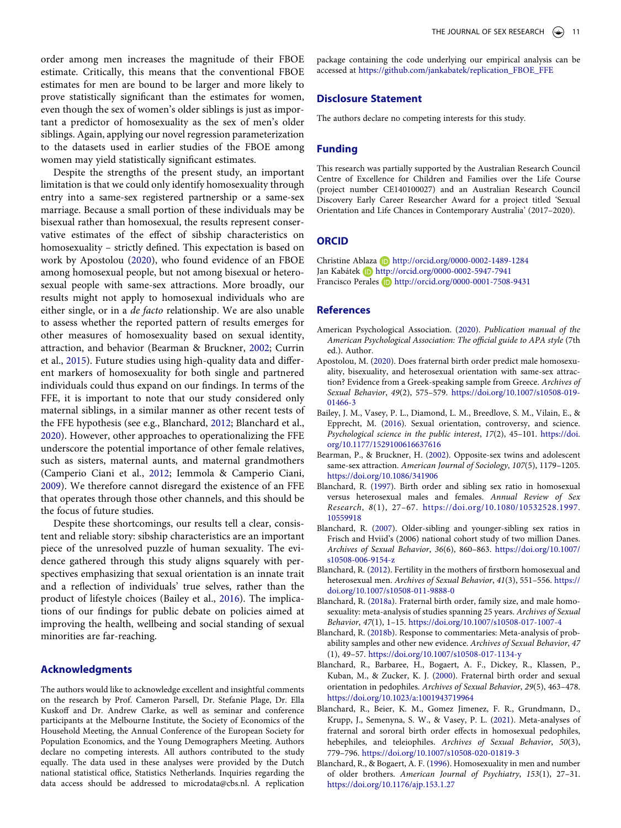order among men increases the magnitude of their FBOE estimate. Critically, this means that the conventional FBOE estimates for men are bound to be larger and more likely to prove statistically significant than the estimates for women, even though the sex of women's older siblings is just as important a predictor of homosexuality as the sex of men's older siblings. Again, applying our novel regression parameterization to the datasets used in earlier studies of the FBOE among women may yield statistically significant estimates.

<span id="page-10-12"></span>Despite the strengths of the present study, an important limitation is that we could only identify homosexuality through entry into a same-sex registered partnership or a same-sex marriage. Because a small portion of these individuals may be bisexual rather than homosexual, the results represent conservative estimates of the effect of sibship characteristics on homosexuality – strictly defined. This expectation is based on work by Apostolou ([2020\)](#page-10-2), who found evidence of an FBOE among homosexual people, but not among bisexual or heterosexual people with same-sex attractions. More broadly, our results might not apply to homosexual individuals who are either single, or in a de facto relationship. We are also unable to assess whether the reported pattern of results emerges for other measures of homosexuality based on sexual identity, attraction, and behavior (Bearman & Bruckner, [2002;](#page-10-11) Currin et al., [2015\)](#page-11-34). Future studies using high-quality data and different markers of homosexuality for both single and partnered individuals could thus expand on our findings. In terms of the FFE, it is important to note that our study considered only maternal siblings, in a similar manner as other recent tests of the FFE hypothesis (see e.g., Blanchard, [2012;](#page-10-6) Blanchard et al., [2020](#page-11-1)). However, other approaches to operationalizing the FFE underscore the potential importance of other female relatives, such as sisters, maternal aunts, and maternal grandmothers (Camperio Ciani et al., [2012;](#page-11-12) Iemmola & Camperio Ciani, [2009](#page-11-5)). We therefore cannot disregard the existence of an FFE that operates through those other channels, and this should be the focus of future studies.

<span id="page-10-13"></span>Despite these shortcomings, our results tell a clear, consistent and reliable story: sibship characteristics are an important piece of the unresolved puzzle of human sexuality. The evidence gathered through this study aligns squarely with perspectives emphasizing that sexual orientation is an innate trait and a reflection of individuals' true selves, rather than the product of lifestyle choices (Bailey et al., [2016](#page-10-0)). The implications of our findings for public debate on policies aimed at improving the health, wellbeing and social standing of sexual minorities are far-reaching.

## **Acknowledgments**

The authors would like to acknowledge excellent and insightful comments on the research by Prof. Cameron Parsell, Dr. Stefanie Plage, Dr. Ella Kuskoff and Dr. Andrew Clarke, as well as seminar and conference participants at the Melbourne Institute, the Society of Economics of the Household Meeting, the Annual Conference of the European Society for Population Economics, and the Young Demographers Meeting. Authors declare no competing interests. All authors contributed to the study equally. The data used in these analyses were provided by the Dutch national statistical office, Statistics Netherlands. Inquiries regarding the data access should be addressed to microdata@cbs.nl. A replication

package containing the code underlying our empirical analysis can be accessed at [https://github.com/jankabatek/replication\\_FBOE\\_FFE](https://github.com/jankabatek/replication_FBOE_FFE)

# **Disclosure Statement**

The authors declare no competing interests for this study.

# **Funding**

This research was partially supported by the Australian Research Council Centre of Excellence for Children and Families over the Life Course (project number CE140100027) and an Australian Research Council Discovery Early Career Researcher Award for a project titled 'Sexual Orientation and Life Chances in Contemporary Australia' (2017–2020).

# **ORCID**

Christine Ablaza **b** http://orcid.org/0000-0002-1489-1284 Jan Kabátek **http://orcid.org/0000-0002-5947-7941** Francisco Perales **D** http://orcid.org/0000-0001-7508-9431

#### **References**

- <span id="page-10-3"></span>American Psychological Association. ([2020\)](#page-0-4). Publication manual of the American Psychological Association: The official guide to APA style (7th ed.). Author.
- <span id="page-10-2"></span>Apostolou, M. [\(2020\)](#page-0-5). Does fraternal birth order predict male homosexuality, bisexuality, and heterosexual orientation with same-sex attraction? Evidence from a Greek-speaking sample from Greece. Archives of Sexual Behavior, 49(2), 575–579. [https://doi.org/10.1007/s10508-019-](https://doi.org/10.1007/s10508-019-01466-3)  [01466-3](https://doi.org/10.1007/s10508-019-01466-3)
- <span id="page-10-0"></span>Bailey, J. M., Vasey, P. L., Diamond, L. M., Breedlove, S. M., Vilain, E., & Epprecht, M. ([2016\)](#page-0-6). Sexual orientation, controversy, and science. Psychological science in the public interest, 17(2), 45–101. [https://doi.](https://doi.org/10.1177/1529100616637616)  [org/10.1177/1529100616637616](https://doi.org/10.1177/1529100616637616)
- <span id="page-10-11"></span>Bearman, P., & Bruckner, H. [\(2002](#page-10-12)). Opposite-sex twins and adolescent same-sex attraction. American Journal of Sociology, 107(5), 1179–1205. <https://doi.org/10.1086/341906>
- <span id="page-10-5"></span>Blanchard, R. [\(1997\)](#page-1-3). Birth order and sibling sex ratio in homosexual versus heterosexual males and females. Annual Review of Sex Research, 8(1), 27–67. [https://doi.org/10.1080/10532528.1997.](https://doi.org/10.1080/10532528.1997.10559918) [10559918](https://doi.org/10.1080/10532528.1997.10559918)
- <span id="page-10-9"></span>Blanchard, R. ([2007](#page-2-0)). Older-sibling and younger-sibling sex ratios in Frisch and Hviid's (2006) national cohort study of two million Danes. Archives of Sexual Behavior, 36(6), 860–863. [https://doi.org/10.1007/](https://doi.org/10.1007/s10508-006-9154-z) [s10508-006-9154-z](https://doi.org/10.1007/s10508-006-9154-z)
- <span id="page-10-6"></span>Blanchard, R. [\(2012](#page-1-4)). Fertility in the mothers of firstborn homosexual and heterosexual men. Archives of Sexual Behavior, 41(3), 551–556. [https://](https://doi.org/10.1007/s10508-011-9888-0)  [doi.org/10.1007/s10508-011-9888-0](https://doi.org/10.1007/s10508-011-9888-0)
- <span id="page-10-4"></span>Blanchard, R. ([2018a\)](#page-1-5). Fraternal birth order, family size, and male homosexuality: meta-analysis of studies spanning 25 years. Archives of Sexual Behavior, 47(1), 1–15. <https://doi.org/10.1007/s10508-017-1007-4>
- <span id="page-10-8"></span>Blanchard, R. [\(2018b\)](#page-2-4). Response to commentaries: Meta-analysis of probability samples and other new evidence. Archives of Sexual Behavior, 47 (1), 49–57. <https://doi.org/10.1007/s10508-017-1134-y>
- <span id="page-10-7"></span>Blanchard, R., Barbaree, H., Bogaert, A. F., Dickey, R., Klassen, P., Kuban, M., & Zucker, K. J. ([2000\)](#page-1-6). Fraternal birth order and sexual orientation in pedophiles. Archives of Sexual Behavior, 29(5), 463–478. <https://doi.org/10.1023/a:1001943719964>
- <span id="page-10-10"></span>Blanchard, R., Beier, K. M., Gomez Jimenez, F. R., Grundmann, D., Krupp, J., Semenyna, S. W., & Vasey, P. L. [\(2021](#page-4-4)). Meta-analyses of fraternal and sororal birth order effects in homosexual pedophiles, hebephiles, and teleiophiles. Archives of Sexual Behavior, 50(3), 779–796. <https://doi.org/10.1007/s10508-020-01819-3>
- <span id="page-10-1"></span>Blanchard, R., & Bogaert, A. F. ([1996](#page-0-7)). Homosexuality in men and number of older brothers. American Journal of Psychiatry, 153(1), 27–31. <https://doi.org/10.1176/ajp.153.1.27>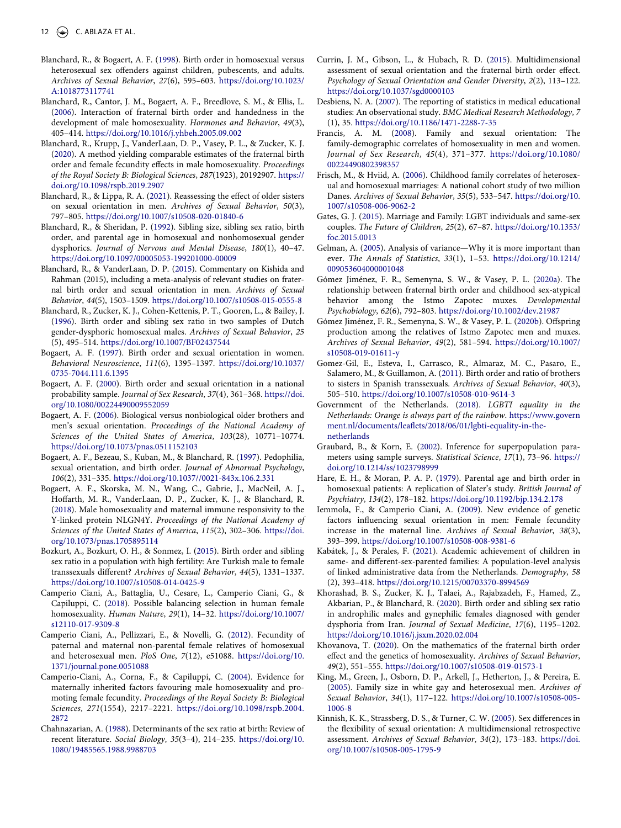- <span id="page-11-21"></span>Blanchard, R., & Bogaert, A. F. [\(1998\)](#page-1-6). Birth order in homosexual versus heterosexual sex offenders against children, pubescents, and adults. Archives of Sexual Behavior, 27(6), 595–603. [https://doi.org/10.1023/](https://doi.org/10.1023/A:1018773117741) [A:1018773117741](https://doi.org/10.1023/A:1018773117741)
- <span id="page-11-22"></span>Blanchard, R., Cantor, J. M., Bogaert, A. F., Breedlove, S. M., & Ellis, L. ([2006](#page-1-6)). Interaction of fraternal birth order and handedness in the development of male homosexuality. Hormones and Behavior, 49(3), 405–414. <https://doi.org/10.1016/j.yhbeh.2005.09.002>
- <span id="page-11-1"></span>Blanchard, R., Krupp, J., VanderLaan, D. P., Vasey, P. L., & Zucker, K. J. ([2020](#page-0-7)). A method yielding comparable estimates of the fraternal birth order and female fecundity effects in male homosexuality. Proceedings of the Royal Society B: Biological Sciences, 287(1923), 20192907. [https://](https://doi.org/10.1098/rspb.2019.2907) [doi.org/10.1098/rspb.2019.2907](https://doi.org/10.1098/rspb.2019.2907)
- <span id="page-11-20"></span>Blanchard, R., & Lippa, R. A. [\(2021](#page-1-7)). Reassessing the effect of older sisters on sexual orientation in men. Archives of Sexual Behavior, 50(3), 797–805. <https://doi.org/10.1007/s10508-020-01840-6>
- <span id="page-11-2"></span>Blanchard, R., & Sheridan, P. ([1992](#page-0-8)). Sibling size, sibling sex ratio, birth order, and parental age in homosexual and nonhomosexual gender dysphorics. Journal of Nervous and Mental Disease, 180(1), 40–47. <https://doi.org/10.1097/00005053-199201000-00009>
- <span id="page-11-28"></span>Blanchard, R., & VanderLaan, D. P. [\(2015](#page-2-5)). Commentary on Kishida and Rahman (2015), including a meta-analysis of relevant studies on fraternal birth order and sexual orientation in men. Archives of Sexual Behavior, 44(5), 1503–1509. <https://doi.org/10.1007/s10508-015-0555-8>
- <span id="page-11-24"></span>Blanchard, R., Zucker, K. J., Cohen-Kettenis, P. T., Gooren, L., & Bailey, J. ([1996](#page-1-8)). Birth order and sibling sex ratio in two samples of Dutch gender-dysphoric homosexual males. Archives of Sexual Behavior, 25 (5), 495–514.<https://doi.org/10.1007/BF02437544>
- <span id="page-11-16"></span>Bogaert, A. F. [\(1997\)](#page-1-3). Birth order and sexual orientation in women. Behavioral Neuroscience, 111(6), 1395–1397. [https://doi.org/10.1037/](https://doi.org/10.1037/0735-7044.111.6.1395) [0735-7044.111.6.1395](https://doi.org/10.1037/0735-7044.111.6.1395)
- <span id="page-11-14"></span>Bogaert, A. F. ([2000](#page-1-3)). Birth order and sexual orientation in a national probability sample. Journal of Sex Research, 37(4), 361–368. [https://doi.](https://doi.org/10.1080/00224490009552059) [org/10.1080/00224490009552059](https://doi.org/10.1080/00224490009552059)
- <span id="page-11-7"></span>Bogaert, A. F. [\(2006\)](#page-0-7). Biological versus nonbiological older brothers and men's sexual orientation. Proceedings of the National Academy of Sciences of the United States of America, 103(28), 10771–10774. <https://doi.org/10.1073/pnas.0511152103>
- <span id="page-11-23"></span>Bogaert, A. F., Bezeau, S., Kuban, M., & Blanchard, R. [\(1997](#page-1-8)). Pedophilia, sexual orientation, and birth order. Journal of Abnormal Psychology, 106(2), 331–335. <https://doi.org/10.1037//0021-843x.106.2.331>
- <span id="page-11-18"></span>Bogaert, A. F., Skorska, M. N., Wang, C., Gabrie, J., MacNeil, A. J., Hoffarth, M. R., VanderLaan, D. P., Zucker, K. J., & Blanchard, R. ([2018](#page-1-9)). Male homosexuality and maternal immune responsivity to the Y-linked protein NLGN4Y. Proceedings of the National Academy of Sciences of the United States of America, 115(2), 302–306. [https://doi.](https://doi.org/10.1073/pnas.1705895114)  [org/10.1073/pnas.1705895114](https://doi.org/10.1073/pnas.1705895114)
- <span id="page-11-9"></span>Bozkurt, A., Bozkurt, O. H., & Sonmez, I. [\(2015\)](#page-1-10). Birth order and sibling sex ratio in a population with high fertility: Are Turkish male to female transsexuals different? Archives of Sexual Behavior, 44(5), 1331–1337. <https://doi.org/10.1007/s10508-014-0425-9>
- <span id="page-11-17"></span>Camperio Ciani, A., Battaglia, U., Cesare, L., Camperio Ciani, G., & Capiluppi, C. ([2018](#page-1-11)). Possible balancing selection in human female homosexuality. Human Nature, 29(1), 14–32. [https://doi.org/10.1007/](https://doi.org/10.1007/s12110-017-9309-8) [s12110-017-9309-8](https://doi.org/10.1007/s12110-017-9309-8)
- <span id="page-11-12"></span>Camperio Ciani, A., Pellizzari, E., & Novelli, G. ([2012](#page-1-12)). Fecundity of paternal and maternal non-parental female relatives of homosexual and heterosexual men. PloS One, 7(12), e51088. [https://doi.org/10.](https://doi.org/10.1371/journal.pone.0051088) [1371/journal.pone.0051088](https://doi.org/10.1371/journal.pone.0051088)
- <span id="page-11-4"></span>Camperio-Ciani, A., Corna, F., & Capiluppi, C. [\(2004\)](#page-0-7). Evidence for maternally inherited factors favouring male homosexuality and promoting female fecundity. Proceedings of the Royal Society B: Biological Sciences, 271(1554), 2217–2221. [https://doi.org/10.1098/rspb.2004.](https://doi.org/10.1098/rspb.2004.2872) [2872](https://doi.org/10.1098/rspb.2004.2872)
- <span id="page-11-29"></span>Chahnazarian, A. ([1988\)](#page-4-2). Determinants of the sex ratio at birth: Review of recent literature. Social Biology, 35(3–4), 214–235. [https://doi.org/10.](https://doi.org/10.1080/19485565.1988.9988703)  [1080/19485565.1988.9988703](https://doi.org/10.1080/19485565.1988.9988703)
- <span id="page-11-34"></span>Currin, J. M., Gibson, L., & Hubach, R. D. ([2015\)](#page-10-13). Multidimensional assessment of sexual orientation and the fraternal birth order effect. Psychology of Sexual Orientation and Gender Diversity, 2(2), 113–122. <https://doi.org/10.1037/sgd0000103>
- <span id="page-11-30"></span>Desbiens, N. A. [\(2007](#page-4-5)). The reporting of statistics in medical educational studies: An observational study. BMC Medical Research Methodology, 7 (1), 35. <https://doi.org/10.1186/1471-2288-7-35>
- <span id="page-11-33"></span>Francis, A. M. [\(2008\)](#page-9-2). Family and sexual orientation: The family-demographic correlates of homosexuality in men and women. Journal of Sex Research, 45(4), 371–377. [https://doi.org/10.1080/](https://doi.org/10.1080/00224490802398357) [00224490802398357](https://doi.org/10.1080/00224490802398357)
- <span id="page-11-25"></span>Frisch, M., & Hviid, A. ([2006](#page-2-6)). Childhood family correlates of heterosexual and homosexual marriages: A national cohort study of two million Danes. Archives of Sexual Behavior, 35(5), 533–547. [https://doi.org/10.](https://doi.org/10.1007/s10508-006-9062-2)  [1007/s10508-006-9062-2](https://doi.org/10.1007/s10508-006-9062-2)
- <span id="page-11-0"></span>Gates, G. J. [\(2015\)](#page-0-9). Marriage and Family: LGBT individuals and same-sex couples. The Future of Children, 25(2), 67–87. [https://doi.org/10.1353/](https://doi.org/10.1353/foc.2015.0013) [foc.2015.0013](https://doi.org/10.1353/foc.2015.0013)
- <span id="page-11-31"></span>Gelman, A. ([2005\)](#page-4-6). Analysis of variance—Why it is more important than ever. The Annals of Statistics, 33(1), 1–53. [https://doi.org/10.1214/](https://doi.org/10.1214/009053604000001048) [009053604000001048](https://doi.org/10.1214/009053604000001048)
- <span id="page-11-8"></span>Gómez Jiménez, F. R., Semenyna, S. W., & Vasey, P. L. ([2020a\)](#page-0-10). The relationship between fraternal birth order and childhood sex-atypical behavior among the Istmo Zapotec muxes. Developmental Psychobiology, 62(6), 792–803. <https://doi.org/10.1002/dev.21987>
- <span id="page-11-13"></span>Gómez Jiménez, F. R., Semenyna, S. W., & Vasey, P. L. ([2020b](#page-1-13)). Offspring production among the relatives of Istmo Zapotec men and muxes. Archives of Sexual Behavior, 49(2), 581–594. [https://doi.org/10.1007/](https://doi.org/10.1007/s10508-019-01611-y) [s10508-019-01611-y](https://doi.org/10.1007/s10508-019-01611-y)
- <span id="page-11-10"></span>Gomez-Gil, E., Esteva, I., Carrasco, R., Almaraz, M. C., Pasaro, E., Salamero, M., & Guillamon, A. [\(2011\)](#page-1-10). Birth order and ratio of brothers to sisters in Spanish transsexuals. Archives of Sexual Behavior, 40(3), 505–510. <https://doi.org/10.1007/s10508-010-9614-3>
- <span id="page-11-26"></span>Government of the Netherlands. ([2018\)](#page-2-7). LGBTI equality in the Netherlands: Orange is always part of the rainbow. [https://www.govern](https://www.government.nl/documents/leaflets/2018/06/01/lgbti-equality-in-the-netherlands) [ment.nl/documents/leaflets/2018/06/01/lgbti-equality-in-the](https://www.government.nl/documents/leaflets/2018/06/01/lgbti-equality-in-the-netherlands)[netherlands](https://www.government.nl/documents/leaflets/2018/06/01/lgbti-equality-in-the-netherlands)
- <span id="page-11-32"></span>Graubard, B., & Korn, E. ([2002](#page-4-6)). Inference for superpopulation parameters using sample surveys. Statistical Science, 17(1), 73–96. [https://](https://doi.org/10.1214/ss/1023798999)  [doi.org/10.1214/ss/1023798999](https://doi.org/10.1214/ss/1023798999)
- <span id="page-11-3"></span>Hare, E. H., & Moran, P. A. P. ([1979](#page-0-11)). Parental age and birth order in homosexual patients: A replication of Slater's study. British Journal of Psychiatry, 134(2), 178–182. <https://doi.org/10.1192/bjp.134.2.178>
- <span id="page-11-5"></span>Iemmola, F., & Camperio Ciani, A. [\(2009\)](#page-0-12). New evidence of genetic factors influencing sexual orientation in men: Female fecundity increase in the maternal line. Archives of Sexual Behavior, 38(3), 393–399. <https://doi.org/10.1007/s10508-008-9381-6>
- <span id="page-11-27"></span>Kabátek, J., & Perales, F. ([2021](#page-2-8)). Academic achievement of children in same- and different-sex-parented families: A population-level analysis of linked administrative data from the Netherlands. Demography, 58 (2), 393–418. <https://doi.org/10.1215/00703370-8994569>
- <span id="page-11-6"></span>Khorashad, B. S., Zucker, K. J., Talaei, A., Rajabzadeh, F., Hamed, Z., Akbarian, P., & Blanchard, R. ([2020](#page-0-10)). Birth order and sibling sex ratio in androphilic males and gynephilic females diagnosed with gender dysphoria from Iran. Journal of Sexual Medicine, 17(6), 1195–1202. <https://doi.org/10.1016/j.jsxm.2020.02.004>
- <span id="page-11-19"></span>Khovanova, T. [\(2020\)](#page-1-0). On the mathematics of the fraternal birth order effect and the genetics of homosexuality. Archives of Sexual Behavior, 49(2), 551–555. <https://doi.org/10.1007/s10508-019-01573-1>
- <span id="page-11-11"></span>King, M., Green, J., Osborn, D. P., Arkell, J., Hetherton, J., & Pereira, E. ([2005](#page-1-14)). Family size in white gay and heterosexual men. Archives of Sexual Behavior, 34(1), 117–122. [https://doi.org/10.1007/s10508-005-](https://doi.org/10.1007/s10508-005-1006-8)  [1006-8](https://doi.org/10.1007/s10508-005-1006-8)
- <span id="page-11-15"></span>Kinnish, K. K., Strassberg, D. S., & Turner, C. W. [\(2005](#page-1-15)). Sex differences in the flexibility of sexual orientation: A multidimensional retrospective assessment. Archives of Sexual Behavior, 34(2), 173–183. [https://doi.](https://doi.org/10.1007/s10508-005-1795-9)  [org/10.1007/s10508-005-1795-9](https://doi.org/10.1007/s10508-005-1795-9)